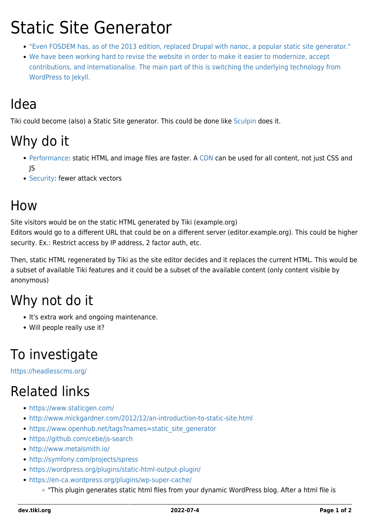# Static Site Generator

- ["Even FOSDEM has, as of the 2013 edition, replaced Drupal with nanoc, a popular static site generator."](https://fosdem.org/2013/schedule/event/static_site_generation_for_the_masses/)
- [We have been working hard to revise the website in order to make it easier to modernize, accept](https://f-droid.org/2017/02/20/new-forum.html) [contributions, and internationalise. The main part of this is switching the underlying technology from](https://f-droid.org/2017/02/20/new-forum.html) [WordPress to Jekyll.](https://f-droid.org/2017/02/20/new-forum.html)

#### Idea

Tiki could become (also) a Static Site generator. This could be done like [Sculpin](https://github.com/sculpin/sculpin) does it.

### Why do it

- [Performance](https://dev.tiki.org/Performance): static HTML and image files are faster. A [CDN](http://doc.tiki.org/CDN) can be used for all content, not just CSS and JS
- [Security:](https://dev.tiki.org/Security) fewer attack vectors

#### How

Site visitors would be on the static HTML generated by Tiki (example.org)

Editors would go to a different URL that could be on a different server (editor.example.org). This could be higher security. Ex.: Restrict access by IP address, 2 factor auth, etc.

Then, static HTML regenerated by Tiki as the site editor decides and it replaces the current HTML. This would be a subset of available Tiki features and it could be a subset of the available content (only content visible by anonymous)

#### Why not do it

- It's extra work and ongoing maintenance.
- Will people really use it?

### To investigate

<https://headlesscms.org/>

## Related links

- <https://www.staticgen.com/>
- <http://www.mickgardner.com/2012/12/an-introduction-to-static-site.html>
- [https://www.openhub.net/tags?names=static\\_site\\_generator](https://www.openhub.net/tags?names=static_site_generator)
- <https://github.com/cebe/js-search>
- <http://www.metalsmith.io/>
- <http://symfony.com/projects/spress>
- <https://wordpress.org/plugins/static-html-output-plugin/>
- <https://en-ca.wordpress.org/plugins/wp-super-cache/>
	- "This plugin generates static html files from your dynamic WordPress blog. After a html file is